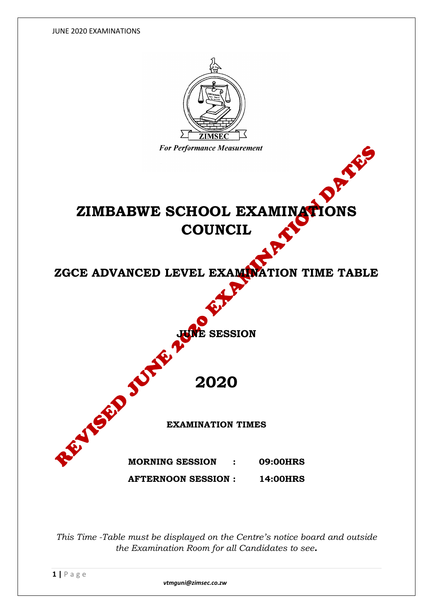JUNE 2020 EXAMINATIONS



*This Time -Table must be displayed on the Centre's notice board and outside the Examination Room for all Candidates to see.*

 *vtmguni@zimsec.co.zw*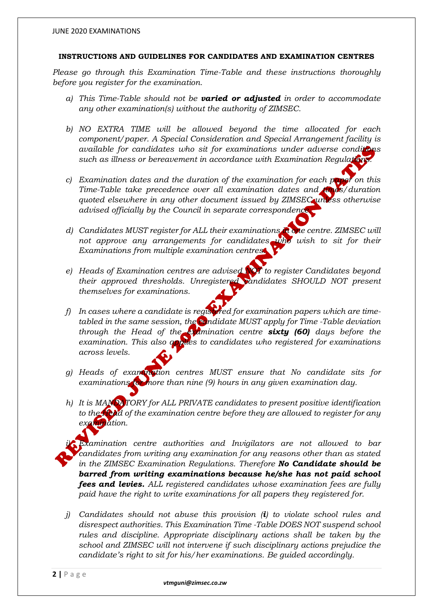## **INSTRUCTIONS AND GUIDELINES FOR CANDIDATES AND EXAMINATION CENTRES**

*Please go through this Examination Time-Table and these instructions thoroughly before you register for the examination.*

- *a) This Time-Table should not be varied or adjusted in order to accommodate any other examination(s) without the authority of ZIMSEC.*
- *b) NO EXTRA TIME will be allowed beyond the time allocated for each component/paper. A Special Consideration and Special Arrangement facility is available for candidates who sit for examinations under adverse conditions such as illness or bereavement in accordance with Examination Regulations.*
- *c) Examination dates and the duration of the examination for each paper on this Time-Table take precedence over all examination dates and times/duration quoted elsewhere in any other document issued by ZIMSEC unless otherwise advised officially by the Council in separate correspondence.*
- *d) Candidates MUST register for ALL their examinations in one centre. ZIMSEC will not approve any arrangements for candidates who wish to sit for their Examinations from multiple examination centres.*
- *e) Heads of Examination centres are advised NOT to register Candidates beyond their approved thresholds. Unregistered candidates SHOULD NOT present themselves for examinations.*
- *f)* In cases where a candidate is registered for examination papers which are time*tabled in the same session, the candidate MUST apply for Time -Table deviation through the Head of the examination centre sixty (60) days before the examination. This also applies to candidates who registered for examinations across levels.*
- *g) Heads of examination centres MUST ensure that No candidate sits for examinations for more than nine (9) hours in any given examination day.*
- *h) It is MANDATORY for ALL PRIVATE candidates to present positive identification to the Head of the examination centre before they are allowed to register for any examination.*
- *i) Examination centre authorities and Invigilators are not allowed to bar candidates from writing any examination for any reasons other than as stated in the ZIMSEC Examination Regulations. Therefore No Candidate should be barred from writing examinations because he/she has not paid school fees and levies. ALL registered candidates whose examination fees are fully paid have the right to write examinations for all papers they registered for.*
- *j) Candidates should not abuse this provision (i) to violate school rules and disrespect authorities. This Examination Time -Table DOES NOT suspend school rules and discipline. Appropriate disciplinary actions shall be taken by the school and ZIMSEC will not intervene if such disciplinary actions prejudice the candidate's right to sit for his/her examinations. Be guided accordingly.*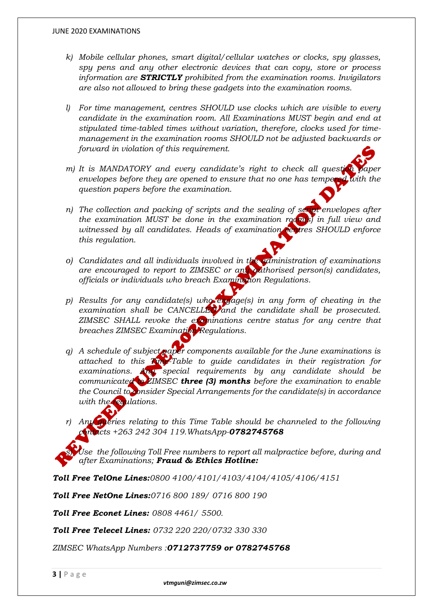- *k) Mobile cellular phones, smart digital/cellular watches or clocks, spy glasses, spy pens and any other electronic devices that can copy, store or process information are STRICTLY prohibited from the examination rooms. Invigilators are also not allowed to bring these gadgets into the examination rooms.*
- *l) For time management, centres SHOULD use clocks which are visible to every candidate in the examination room. All Examinations MUST begin and end at stipulated time-tabled times without variation, therefore, clocks used for timemanagement in the examination rooms SHOULD not be adjusted backwards or forward in violation of this requirement.*
- *m)* It is MANDATORY and every candidate's right to check all question paper envelopes before they are opened to ensure that no one has tempered with the *question papers before the examination.*
- *n) The collection and packing of scripts and the sealing of script envelopes after the examination MUST be done in the examination room(s) in full view and witnessed by all candidates. Heads of examination centres SHOULD enforce this regulation.*
- *o) Candidates and all individuals involved in the administration of examinations are encouraged to report to ZIMSEC or any authorised person(s) candidates, officials or individuals who breach Examination Regulations.*
- *p) Results for any candidate(s) who engage(s) in any form of cheating in the examination shall be CANCELLED and the candidate shall be prosecuted. ZIMSEC SHALL revoke the examinations centre status for any centre that breaches ZIMSEC Examination Regulations.*
- *q) A schedule of subject paper components available for the June examinations is attached to this Time-Table to guide candidates in their registration for examinations. Any special requirements by any candidate should be communicated to ZIMSEC three (3) months before the examination to enable the Council to consider Special Arrangements for the candidate(s) in accordance with the regulations.*
- *r) Any queries relating to this Time Table should be channeled to the following contacts +263 242 304 119.WhatsApp-0782745768*

Use the following Toll Free numbers to report all malpractice before, during and *after Examinations; Fraud & Ethics Hotline:* 

*Toll Free TelOne Lines:0800 4100/4101/4103/4104/4105/4106/4151*

*Toll Free NetOne Lines:0716 800 189/ 0716 800 190*

*Toll Free Econet Lines: 0808 4461/ 5500.*

*Toll Free Telecel Lines: 0732 220 220/0732 330 330*

*ZIMSEC WhatsApp Numbers :0712737759 or 0782745768*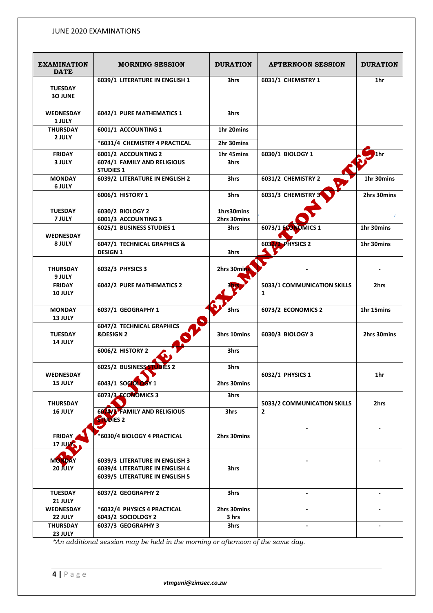## JUNE 2020 EXAMINATIONS

| <b>EXAMINATION</b><br><b>DATE</b> | <b>MORNING SESSION</b>                                                                             | <b>DURATION</b>     | <b>AFTERNOON SESSION</b>                    | <b>DURATION</b> |
|-----------------------------------|----------------------------------------------------------------------------------------------------|---------------------|---------------------------------------------|-----------------|
| <b>TUESDAY</b><br><b>30 JUNE</b>  | 6039/1 LITERATURE IN ENGLISH 1                                                                     | 3hrs                | 6031/1 CHEMISTRY 1                          | 1hr             |
| <b>WEDNESDAY</b><br>1 JULY        | 6042/1 PURE MATHEMATICS 1                                                                          | 3hrs                |                                             |                 |
| <b>THURSDAY</b><br>2 JULY         | 6001/1 ACCOUNTING 1                                                                                | 1hr 20mins          |                                             |                 |
|                                   | *6031/4 CHEMISTRY 4 PRACTICAL                                                                      | 2hr 30mins          |                                             |                 |
| <b>FRIDAY</b><br>3 JULY           | 6001/2 ACCOUNTING 2<br>6074/1 FAMILY AND RELIGIOUS<br><b>STUDIES 1</b>                             | 1hr 45mins<br>3hrs  | 6030/1 BIOLOGY 1                            | '1hr            |
| <b>MONDAY</b><br><b>6 JULY</b>    | 6039/2 LITERATURE IN ENGLISH 2                                                                     | 3hrs                | 6031/2 CHEMISTRY 2                          | 1hr 30mins      |
|                                   | 6006/1 HISTORY 1                                                                                   | 3hrs                | 6031/3 CHEMISTRY                            | 2hrs 30mins     |
| <b>TUESDAY</b>                    | 6030/2 BIOLOGY 2                                                                                   | 1hrs30mins          |                                             |                 |
| 7 JULY                            | 6001/3 ACCOUNTING 3<br>6025/1 BUSINESS STUDIES 1                                                   | 2hrs 30mins<br>3hrs | 6073/1 ECONOMICS 1                          | 1hr 30mins      |
| <b>WEDNESDAY</b>                  |                                                                                                    |                     |                                             |                 |
| 8 JULY                            | 6047/1 TECHNICAL GRAPHICS &<br><b>DESIGN 1</b>                                                     | 3hrs                | 6032/2 PHYSICS 2                            | 1hr 30mins      |
| <b>THURSDAY</b><br><b>9 JULY</b>  | 6032/3 PHYSICS 3                                                                                   | 2hrs 30min          |                                             |                 |
| <b>FRIDAY</b><br>10 JULY          | 6042/2 PURE MATHEMATICS 2                                                                          |                     | 5033/1 COMMUNICATION SKILLS<br>$\mathbf{1}$ | 2hrs            |
| <b>MONDAY</b><br>13 JULY          | 6037/1 GEOGRAPHY 1                                                                                 | 3hrs                | 6073/2 ECONOMICS 2                          | 1hr 15mins      |
| <b>TUESDAY</b><br>14 JULY         | 6047/2 TECHNICAL GRAPHICS<br><b>&amp;DESIGN 2</b>                                                  | 3hrs 10mins         | 6030/3 BIOLOGY 3                            | 2hrs 30mins     |
|                                   | 6006/2 HISTORY 2                                                                                   | 3hrs                |                                             |                 |
| WEDNESDAY                         | 6025/2 BUSINESS STUDIES 2                                                                          | 3hrs                | 6032/1 PHYSICS 1                            | 1hr             |
| 15 JULY                           | 6043/1 SOCIOLOGY 1                                                                                 | 2hrs 30mins         |                                             |                 |
| <b>THURSDAY</b>                   | 6073/3-ECONOMICS 3                                                                                 | 3hrs                | 5033/2 COMMUNICATION SKILLS                 | 2hrs            |
| 16 JULY                           | 6074/3 FAMILY AND RELIGIOUS<br><b>STUDIES 2</b>                                                    | 3hrs                | $\overline{2}$                              |                 |
| <b>FRIDAY</b><br><b>17 JUMS</b>   | *6030/4 BIOLOGY 4 PRACTICAL                                                                        | 2hrs 30mins         |                                             | $\blacksquare$  |
| MONDAY<br>20 JULY                 | 6039/3 LITERATURE IN ENGLISH 3<br>6039/4 LITERATURE IN ENGLISH 4<br>6039/5 LITERATURE IN ENGLISH 5 | 3hrs                |                                             |                 |
| <b>TUESDAY</b><br>21 JULY         | 6037/2 GEOGRAPHY 2                                                                                 | 3hrs                | $\blacksquare$                              |                 |
| WEDNESDAY                         | *6032/4 PHYSICS 4 PRACTICAL                                                                        | 2hrs 30mins         |                                             |                 |
| 22 JULY<br><b>THURSDAY</b>        | 6043/2 SOCIOLOGY 2<br>6037/3 GEOGRAPHY 3                                                           | 3 hrs<br>3hrs       |                                             |                 |
| 23 JULY                           |                                                                                                    |                     |                                             |                 |

*\*An additional session may be held in the morning or afternoon of the same day.*